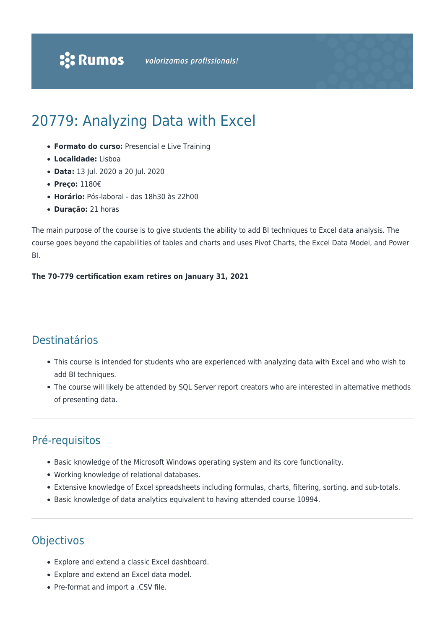# 20779: Analyzing Data with Excel

- **Formato do curso:** Presencial e Live Training
- **Localidade:** Lisboa
- **Data:** 13 Jul. 2020 a 20 Jul. 2020
- **Preço:** 1180€
- **Horário:** Pós-laboral das 18h30 às 22h00
- **Duração:** 21 horas

The main purpose of the course is to give students the ability to add BI techniques to Excel data analysis. The course goes beyond the capabilities of tables and charts and uses Pivot Charts, the Excel Data Model, and Power BI.

### **The 70-779 certification exam retires on January 31, 2021**

# Destinatários

- This course is intended for students who are experienced with analyzing data with Excel and who wish to add BI techniques.
- The course will likely be attended by SQL Server report creators who are interested in alternative methods of presenting data.

# Pré-requisitos

- Basic knowledge of the Microsoft Windows operating system and its core functionality.
- Working knowledge of relational databases.
- Extensive knowledge of Excel spreadsheets including formulas, charts, filtering, sorting, and sub-totals.
- Basic knowledge of data analytics equivalent to having attended course 10994.

# **Objectivos**

- Explore and extend a classic Excel dashboard.
- Explore and extend an Excel data model.
- Pre-format and import a .CSV file.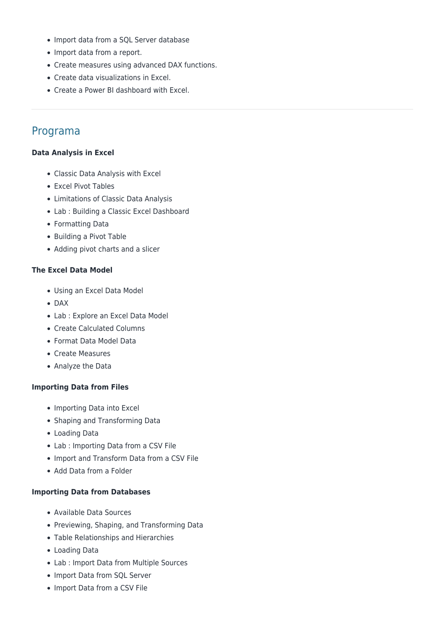- Import data from a SQL Server database
- Import data from a report.
- Create measures using advanced DAX functions.
- Create data visualizations in Excel.
- Create a Power BI dashboard with Excel.

# Programa

#### **Data Analysis in Excel**

- Classic Data Analysis with Excel
- Excel Pivot Tables
- Limitations of Classic Data Analysis
- Lab : Building a Classic Excel Dashboard
- Formatting Data
- Building a Pivot Table
- Adding pivot charts and a slicer

#### **The Excel Data Model**

- Using an Excel Data Model
- DAX
- Lab : Explore an Excel Data Model
- Create Calculated Columns
- Format Data Model Data
- Create Measures
- Analyze the Data

#### **Importing Data from Files**

- Importing Data into Excel
- Shaping and Transforming Data
- Loading Data
- Lab : Importing Data from a CSV File
- Import and Transform Data from a CSV File
- Add Data from a Folder

#### **Importing Data from Databases**

- Available Data Sources
- Previewing, Shaping, and Transforming Data
- Table Relationships and Hierarchies
- Loading Data
- Lab : Import Data from Multiple Sources
- Import Data from SQL Server
- Import Data from a CSV File